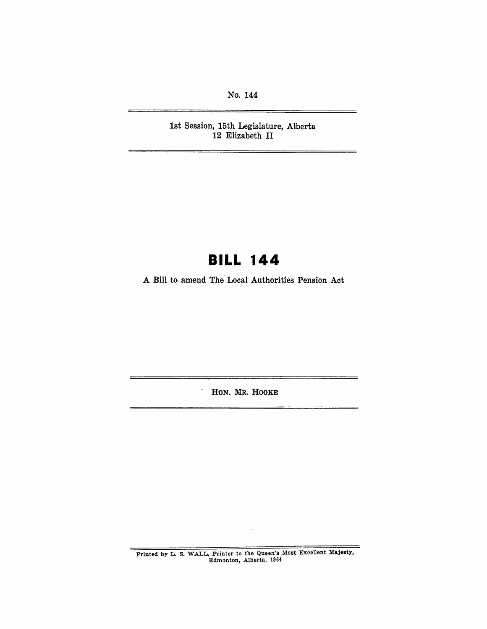No. 144

1st Session, 15th Legislature, Alberta 12 Elizabeth **II** 

# **BILL 144**

A Bill to amend The'Local Authorities Pension Act

HON. MR. HOOKE

 $\equiv$ 

Printed by L. S. WALL, Printer to the Queen's Most Excellent Majesty, Edmonton, Alberta, 1964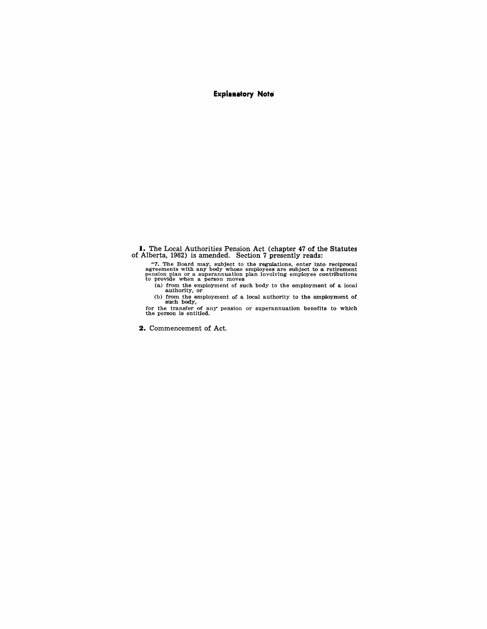#### **Explanatory Note**

**I.** The Local Authorities Pension Act (chapter 47 of the Statutes of Alberta, 1962) is amended. Section 7 presently reads:

<sup>17</sup>. The Board may, subject to the regulations, enter into reciprocal agreements with any body whose employees are subject to a retirement pension plan or a superannuation plan involving employee contributions to provide when a person moves

(a) from the employment of such body to the employment of a local authority, or<br>(b) from the employment of a local authority to the employment of<br>such body,<br>for the transfer of any pension or superannuation benefits to wh

**2.** Commencement of Act.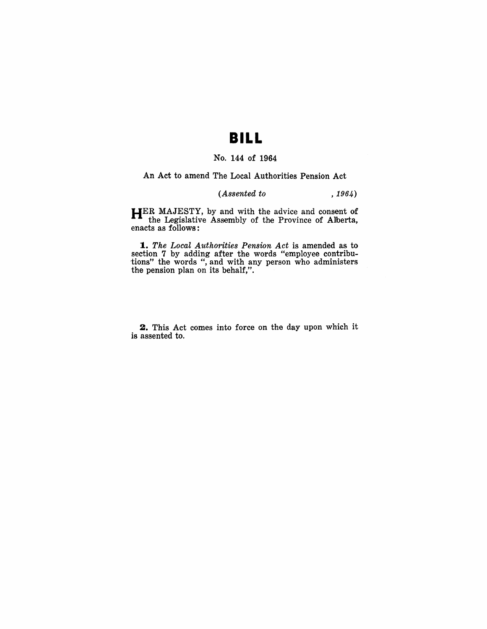# **BILL**

### No. 144 of 1964

An Act to amend The Local Authorities Pension Act

#### *(Assented to* , 1964)

HER MAJESTY, by and with the advice and consent of the Legislative Assembly of the Province of Allberta, enacts as follows:

*1. The Local Authorities Pension Act* is amended as to section 7 by adding after the words "employee contributions" the words ", and with any person who administers the pension plan on its behalf,".

2. This Act comes into force on the day upon which it is assented to.